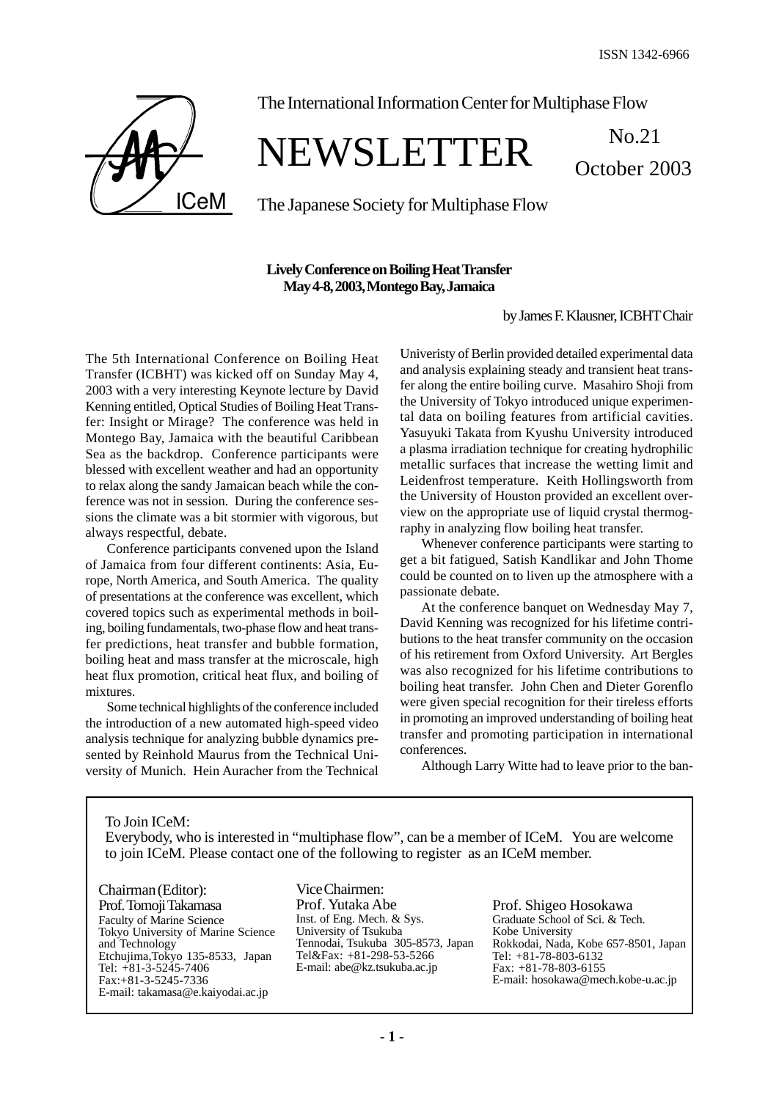October 2003



The International Information Center for Multiphase Flow

# NEWSLETTER No.21

The Japanese Society for Multiphase Flow

# **Lively Conference on Boiling Heat Transfer May 4-8, 2003, Montego Bay, Jamaica**

by James F. Klausner, ICBHT Chair

The 5th International Conference on Boiling Heat Transfer (ICBHT) was kicked off on Sunday May 4, 2003 with a very interesting Keynote lecture by David Kenning entitled, Optical Studies of Boiling Heat Transfer: Insight or Mirage? The conference was held in Montego Bay, Jamaica with the beautiful Caribbean Sea as the backdrop. Conference participants were blessed with excellent weather and had an opportunity to relax along the sandy Jamaican beach while the conference was not in session. During the conference sessions the climate was a bit stormier with vigorous, but always respectful, debate.

Conference participants convened upon the Island of Jamaica from four different continents: Asia, Europe, North America, and South America. The quality of presentations at the conference was excellent, which covered topics such as experimental methods in boiling, boiling fundamentals, two-phase flow and heat transfer predictions, heat transfer and bubble formation, boiling heat and mass transfer at the microscale, high heat flux promotion, critical heat flux, and boiling of mixtures.

Some technical highlights of the conference included the introduction of a new automated high-speed video analysis technique for analyzing bubble dynamics presented by Reinhold Maurus from the Technical University of Munich. Hein Auracher from the Technical Univeristy of Berlin provided detailed experimental data and analysis explaining steady and transient heat transfer along the entire boiling curve. Masahiro Shoji from the University of Tokyo introduced unique experimental data on boiling features from artificial cavities. Yasuyuki Takata from Kyushu University introduced a plasma irradiation technique for creating hydrophilic metallic surfaces that increase the wetting limit and Leidenfrost temperature. Keith Hollingsworth from the University of Houston provided an excellent overview on the appropriate use of liquid crystal thermography in analyzing flow boiling heat transfer.

Whenever conference participants were starting to get a bit fatigued, Satish Kandlikar and John Thome could be counted on to liven up the atmosphere with a passionate debate.

At the conference banquet on Wednesday May 7, David Kenning was recognized for his lifetime contributions to the heat transfer community on the occasion of his retirement from Oxford University. Art Bergles was also recognized for his lifetime contributions to boiling heat transfer. John Chen and Dieter Gorenflo were given special recognition for their tireless efforts in promoting an improved understanding of boiling heat transfer and promoting participation in international conferences.

Although Larry Witte had to leave prior to the ban-

To Join ICeM: Everybody, who is interested in "multiphase flow", can be a member of ICeM. You are welcome to join ICeM. Please contact one of the following to register as an ICeM member.

Chairman (Editor): Prof. Tomoji Takamasa Faculty of Marine Science Tokyo University of Marine Science and Technology Etchujima,Tokyo 135-8533, Japan Tel: +81-3-5245-7406 Fax:+81-3-5245-7336 E-mail: takamasa@e.kaiyodai.ac.jp

Vice Chairmen: Prof. Yutaka Abe Inst. of Eng. Mech. & Sys. University of Tsukuba Tennodai, Tsukuba 305-8573, Japan Tel&Fax: +81-298-53-5266 E-mail: abe@kz.tsukuba.ac.jp

Prof. Shigeo Hosokawa Graduate School of Sci. & Tech. Kobe University Rokkodai, Nada, Kobe 657-8501, Japan Tel: +81-78-803-6132 Fax: +81-78-803-6155 E-mail: hosokawa@mech.kobe-u.ac.jp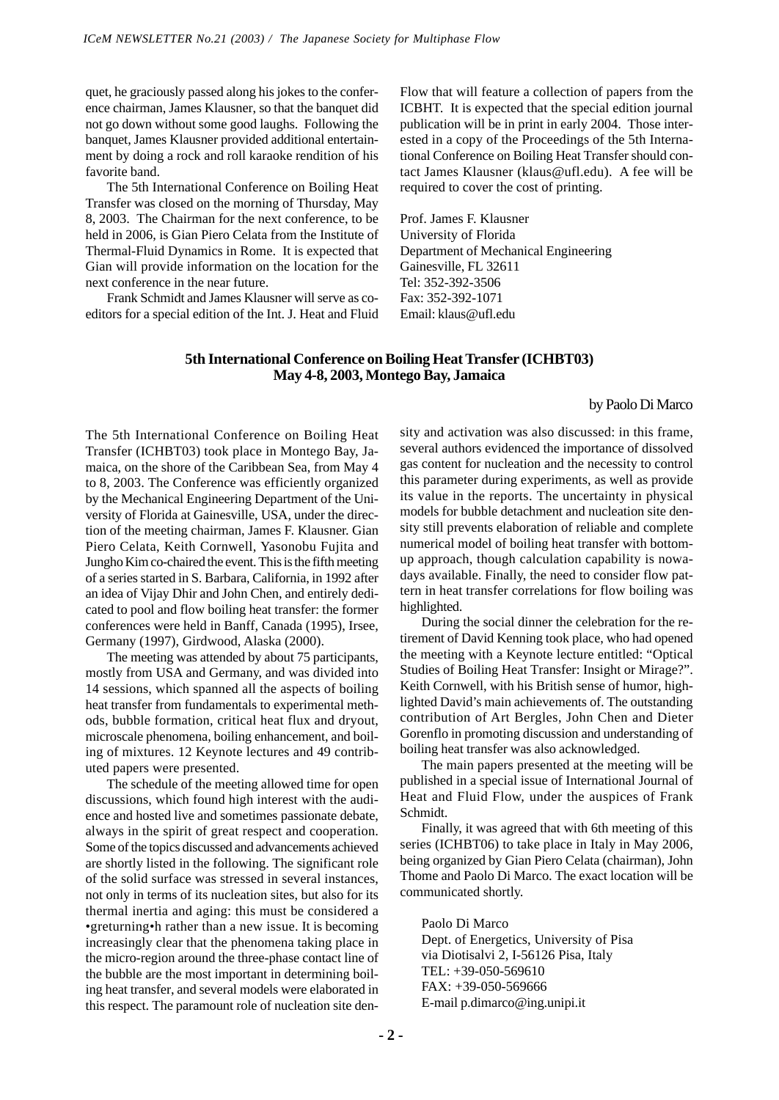quet, he graciously passed along his jokes to the conference chairman, James Klausner, so that the banquet did not go down without some good laughs. Following the banquet, James Klausner provided additional entertainment by doing a rock and roll karaoke rendition of his favorite band.

The 5th International Conference on Boiling Heat Transfer was closed on the morning of Thursday, May 8, 2003. The Chairman for the next conference, to be held in 2006, is Gian Piero Celata from the Institute of Thermal-Fluid Dynamics in Rome. It is expected that Gian will provide information on the location for the next conference in the near future.

Frank Schmidt and James Klausner will serve as coeditors for a special edition of the Int. J. Heat and Fluid Flow that will feature a collection of papers from the ICBHT. It is expected that the special edition journal publication will be in print in early 2004. Those interested in a copy of the Proceedings of the 5th International Conference on Boiling Heat Transfer should contact James Klausner (klaus@ufl.edu). A fee will be required to cover the cost of printing.

Prof. James F. Klausner University of Florida Department of Mechanical Engineering Gainesville, FL 32611 Tel: 352-392-3506 Fax: 352-392-1071 Email: klaus@ufl.edu

## **5th International Conference on Boiling Heat Transfer (ICHBT03) May 4-8, 2003, Montego Bay, Jamaica**

#### by Paolo Di Marco

The 5th International Conference on Boiling Heat Transfer (ICHBT03) took place in Montego Bay, Jamaica, on the shore of the Caribbean Sea, from May 4 to 8, 2003. The Conference was efficiently organized by the Mechanical Engineering Department of the University of Florida at Gainesville, USA, under the direction of the meeting chairman, James F. Klausner. Gian Piero Celata, Keith Cornwell, Yasonobu Fujita and Jungho Kim co-chaired the event. This is the fifth meeting of a series started in S. Barbara, California, in 1992 after an idea of Vijay Dhir and John Chen, and entirely dedicated to pool and flow boiling heat transfer: the former conferences were held in Banff, Canada (1995), Irsee, Germany (1997), Girdwood, Alaska (2000).

The meeting was attended by about 75 participants, mostly from USA and Germany, and was divided into 14 sessions, which spanned all the aspects of boiling heat transfer from fundamentals to experimental methods, bubble formation, critical heat flux and dryout, microscale phenomena, boiling enhancement, and boiling of mixtures. 12 Keynote lectures and 49 contributed papers were presented.

The schedule of the meeting allowed time for open discussions, which found high interest with the audience and hosted live and sometimes passionate debate, always in the spirit of great respect and cooperation. Some of the topics discussed and advancements achieved are shortly listed in the following. The significant role of the solid surface was stressed in several instances, not only in terms of its nucleation sites, but also for its thermal inertia and aging: this must be considered a •greturning•h rather than a new issue. It is becoming increasingly clear that the phenomena taking place in the micro-region around the three-phase contact line of the bubble are the most important in determining boiling heat transfer, and several models were elaborated in this respect. The paramount role of nucleation site density and activation was also discussed: in this frame, several authors evidenced the importance of dissolved gas content for nucleation and the necessity to control this parameter during experiments, as well as provide its value in the reports. The uncertainty in physical models for bubble detachment and nucleation site density still prevents elaboration of reliable and complete numerical model of boiling heat transfer with bottomup approach, though calculation capability is nowadays available. Finally, the need to consider flow pattern in heat transfer correlations for flow boiling was highlighted.

During the social dinner the celebration for the retirement of David Kenning took place, who had opened the meeting with a Keynote lecture entitled: "Optical Studies of Boiling Heat Transfer: Insight or Mirage?". Keith Cornwell, with his British sense of humor, highlighted David's main achievements of. The outstanding contribution of Art Bergles, John Chen and Dieter Gorenflo in promoting discussion and understanding of boiling heat transfer was also acknowledged.

The main papers presented at the meeting will be published in a special issue of International Journal of Heat and Fluid Flow, under the auspices of Frank Schmidt.

Finally, it was agreed that with 6th meeting of this series (ICHBT06) to take place in Italy in May 2006, being organized by Gian Piero Celata (chairman), John Thome and Paolo Di Marco. The exact location will be communicated shortly.

Paolo Di Marco Dept. of Energetics, University of Pisa via Diotisalvi 2, I-56126 Pisa, Italy TEL: +39-050-569610 FAX: +39-050-569666 E-mail p.dimarco@ing.unipi.it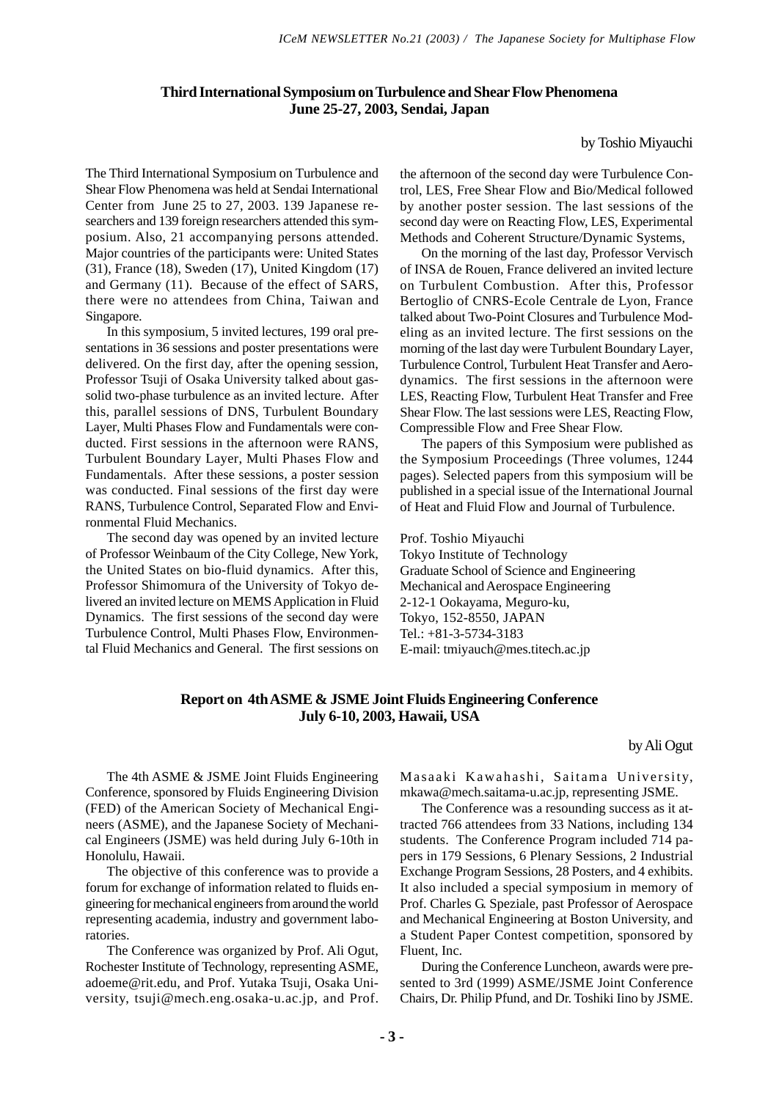# **Third International Symposium on Turbulence and Shear Flow Phenomena June 25-27, 2003, Sendai, Japan**

by Toshio Miyauchi

The Third International Symposium on Turbulence and Shear Flow Phenomena was held at Sendai International Center from June 25 to 27, 2003. 139 Japanese researchers and 139 foreign researchers attended this symposium. Also, 21 accompanying persons attended. Major countries of the participants were: United States (31), France (18), Sweden (17), United Kingdom (17) and Germany (11). Because of the effect of SARS, there were no attendees from China, Taiwan and Singapore.

In this symposium, 5 invited lectures, 199 oral presentations in 36 sessions and poster presentations were delivered. On the first day, after the opening session, Professor Tsuji of Osaka University talked about gassolid two-phase turbulence as an invited lecture. After this, parallel sessions of DNS, Turbulent Boundary Layer, Multi Phases Flow and Fundamentals were conducted. First sessions in the afternoon were RANS, Turbulent Boundary Layer, Multi Phases Flow and Fundamentals. After these sessions, a poster session was conducted. Final sessions of the first day were RANS, Turbulence Control, Separated Flow and Environmental Fluid Mechanics.

The second day was opened by an invited lecture of Professor Weinbaum of the City College, New York, the United States on bio-fluid dynamics. After this, Professor Shimomura of the University of Tokyo delivered an invited lecture on MEMS Application in Fluid Dynamics. The first sessions of the second day were Turbulence Control, Multi Phases Flow, Environmental Fluid Mechanics and General. The first sessions on the afternoon of the second day were Turbulence Control, LES, Free Shear Flow and Bio/Medical followed by another poster session. The last sessions of the second day were on Reacting Flow, LES, Experimental Methods and Coherent Structure/Dynamic Systems,

On the morning of the last day, Professor Vervisch of INSA de Rouen, France delivered an invited lecture on Turbulent Combustion. After this, Professor Bertoglio of CNRS-Ecole Centrale de Lyon, France talked about Two-Point Closures and Turbulence Modeling as an invited lecture. The first sessions on the morning of the last day were Turbulent Boundary Layer, Turbulence Control, Turbulent Heat Transfer and Aerodynamics. The first sessions in the afternoon were LES, Reacting Flow, Turbulent Heat Transfer and Free Shear Flow. The last sessions were LES, Reacting Flow, Compressible Flow and Free Shear Flow.

The papers of this Symposium were published as the Symposium Proceedings (Three volumes, 1244 pages). Selected papers from this symposium will be published in a special issue of the International Journal of Heat and Fluid Flow and Journal of Turbulence.

Prof. Toshio Miyauchi Tokyo Institute of Technology Graduate School of Science and Engineering Mechanical and Aerospace Engineering 2-12-1 Ookayama, Meguro-ku, Tokyo, 152-8550, JAPAN Tel.: +81-3-5734-3183 E-mail: tmiyauch@mes.titech.ac.jp

#### **Report on 4th ASME & JSME Joint Fluids Engineering Conference July 6-10, 2003, Hawaii, USA**

#### by Ali Ogut

The 4th ASME & JSME Joint Fluids Engineering Conference, sponsored by Fluids Engineering Division (FED) of the American Society of Mechanical Engineers (ASME), and the Japanese Society of Mechanical Engineers (JSME) was held during July 6-10th in Honolulu, Hawaii.

The objective of this conference was to provide a forum for exchange of information related to fluids engineering for mechanical engineers from around the world representing academia, industry and government laboratories.

The Conference was organized by Prof. Ali Ogut, Rochester Institute of Technology, representing ASME, adoeme@rit.edu, and Prof. Yutaka Tsuji, Osaka University, tsuji@mech.eng.osaka-u.ac.jp, and Prof. Masaaki Kawahashi, Saitama University, mkawa@mech.saitama-u.ac.jp, representing JSME.

The Conference was a resounding success as it attracted 766 attendees from 33 Nations, including 134 students. The Conference Program included 714 papers in 179 Sessions, 6 Plenary Sessions, 2 Industrial Exchange Program Sessions, 28 Posters, and 4 exhibits. It also included a special symposium in memory of Prof. Charles G. Speziale, past Professor of Aerospace and Mechanical Engineering at Boston University, and a Student Paper Contest competition, sponsored by Fluent, Inc.

During the Conference Luncheon, awards were presented to 3rd (1999) ASME/JSME Joint Conference Chairs, Dr. Philip Pfund, and Dr. Toshiki Iino by JSME.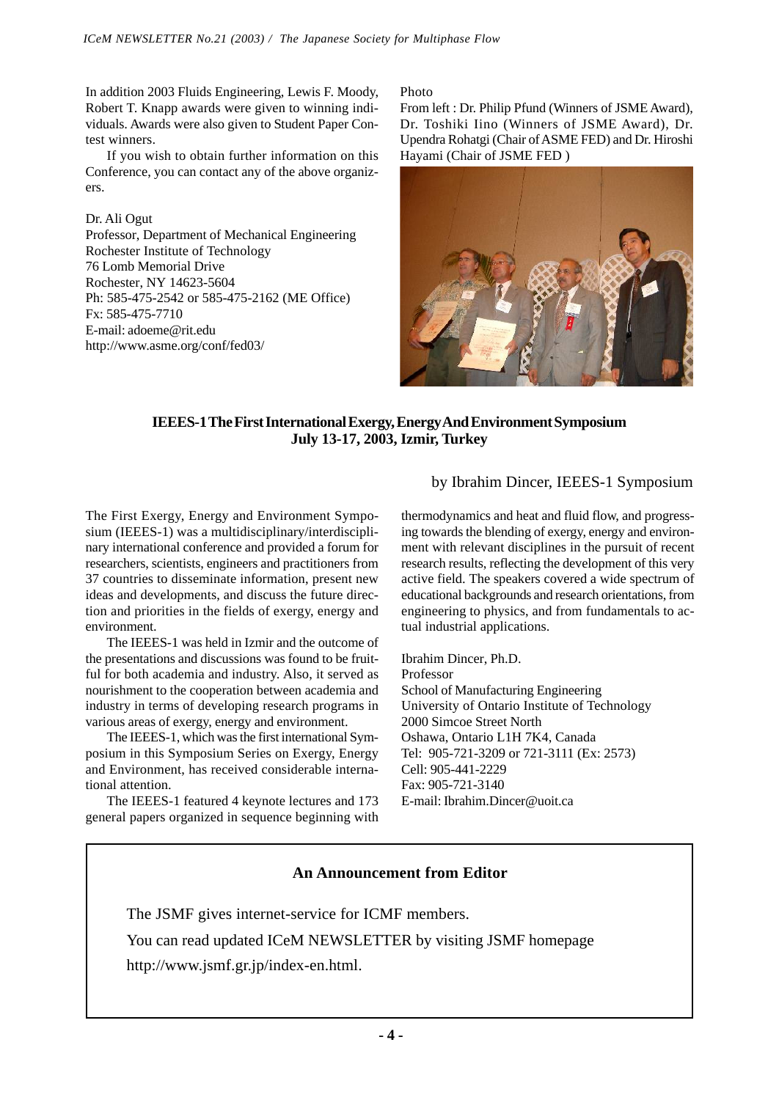In addition 2003 Fluids Engineering, Lewis F. Moody, Robert T. Knapp awards were given to winning individuals. Awards were also given to Student Paper Contest winners.

If you wish to obtain further information on this Conference, you can contact any of the above organizers.

Dr. Ali Ogut Professor, Department of Mechanical Engineering Rochester Institute of Technology 76 Lomb Memorial Drive Rochester, NY 14623-5604 Ph: 585-475-2542 or 585-475-2162 (ME Office) Fx: 585-475-7710 E-mail: adoeme@rit.edu http://www.asme.org/conf/fed03/

#### Photo

From left : Dr. Philip Pfund (Winners of JSME Award), Dr. Toshiki Iino (Winners of JSME Award), Dr. Upendra Rohatgi (Chair of ASME FED) and Dr. Hiroshi Hayami (Chair of JSME FED )



# **IEEES-1 The First International Exergy, Energy And Environment Symposium July 13-17, 2003, Izmir, Turkey**

# by Ibrahim Dincer, IEEES-1 Symposium

The First Exergy, Energy and Environment Symposium (IEEES-1) was a multidisciplinary/interdisciplinary international conference and provided a forum for researchers, scientists, engineers and practitioners from 37 countries to disseminate information, present new ideas and developments, and discuss the future direction and priorities in the fields of exergy, energy and environment.

The IEEES-1 was held in Izmir and the outcome of the presentations and discussions was found to be fruitful for both academia and industry. Also, it served as nourishment to the cooperation between academia and industry in terms of developing research programs in various areas of exergy, energy and environment.

The IEEES-1, which was the first international Symposium in this Symposium Series on Exergy, Energy and Environment, has received considerable international attention.

The IEEES-1 featured 4 keynote lectures and 173 general papers organized in sequence beginning with thermodynamics and heat and fluid flow, and progressing towards the blending of exergy, energy and environment with relevant disciplines in the pursuit of recent research results, reflecting the development of this very active field. The speakers covered a wide spectrum of educational backgrounds and research orientations, from engineering to physics, and from fundamentals to actual industrial applications.

Ibrahim Dincer, Ph.D. Professor School of Manufacturing Engineering University of Ontario Institute of Technology 2000 Simcoe Street North Oshawa, Ontario L1H 7K4, Canada Tel: 905-721-3209 or 721-3111 (Ex: 2573) Cell: 905-441-2229 Fax: 905-721-3140 E-mail: Ibrahim.Dincer@uoit.ca

# **An Announcement from Editor**

The JSMF gives internet-service for ICMF members. You can read updated ICeM NEWSLETTER by visiting JSMF homepage http://www.jsmf.gr.jp/index-en.html.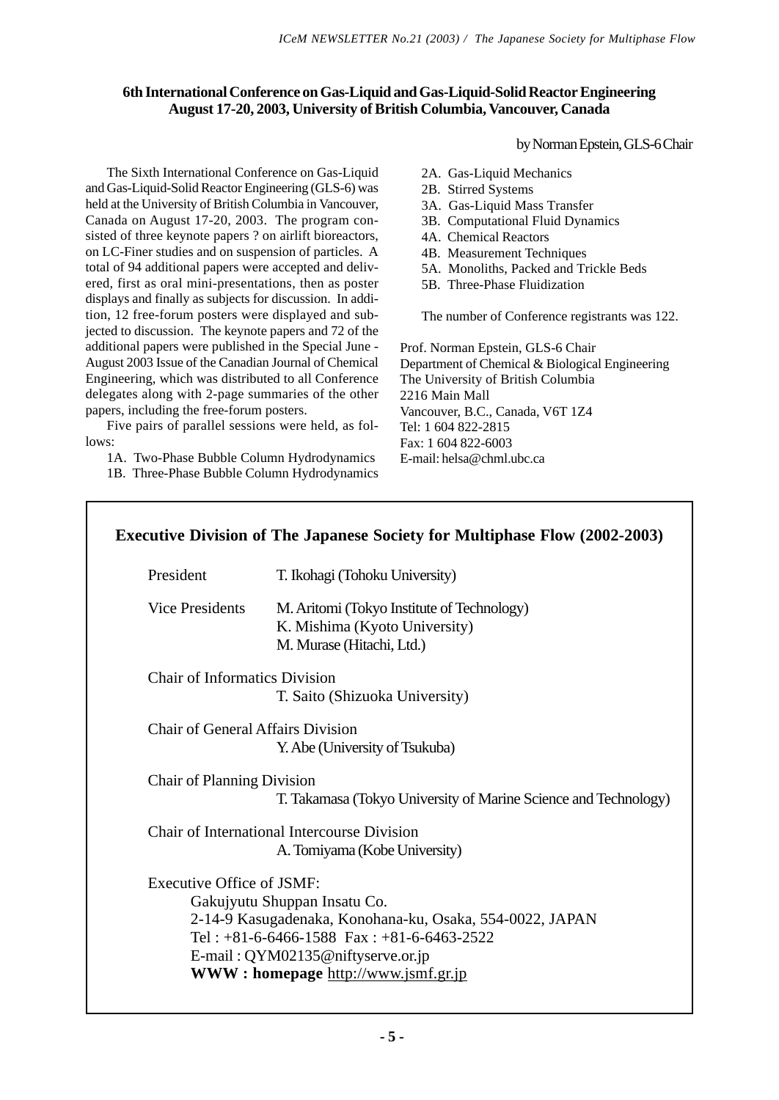# **6th International Conference on Gas-Liquid and Gas-Liquid-Solid Reactor Engineering August 17-20, 2003, University of British Columbia, Vancouver, Canada**

The Sixth International Conference on Gas-Liquid and Gas-Liquid-Solid Reactor Engineering (GLS-6) was held at the University of British Columbia in Vancouver, Canada on August 17-20, 2003. The program consisted of three keynote papers ? on airlift bioreactors, on LC-Finer studies and on suspension of particles. A total of 94 additional papers were accepted and delivered, first as oral mini-presentations, then as poster displays and finally as subjects for discussion. In addition, 12 free-forum posters were displayed and subjected to discussion. The keynote papers and 72 of the additional papers were published in the Special June - August 2003 Issue of the Canadian Journal of Chemical Engineering, which was distributed to all Conference delegates along with 2-page summaries of the other papers, including the free-forum posters.

Five pairs of parallel sessions were held, as follows:

1A. Two-Phase Bubble Column Hydrodynamics

1B. Three-Phase Bubble Column Hydrodynamics

by Norman Epstein, GLS-6 Chair

- 2A. Gas-Liquid Mechanics
- 2B. Stirred Systems
- 3A. Gas-Liquid Mass Transfer
- 3B. Computational Fluid Dynamics
- 4A. Chemical Reactors
- 4B. Measurement Techniques
- 5A. Monoliths, Packed and Trickle Beds
- 5B. Three-Phase Fluidization

The number of Conference registrants was 122.

Prof. Norman Epstein, GLS-6 Chair Department of Chemical & Biological Engineering The University of British Columbia 2216 Main Mall Vancouver, B.C., Canada, V6T 1Z4 Tel: 1 604 822-2815 Fax: 1 604 822-6003 E-mail: helsa@chml.ubc.ca

| President                            | T. Ikohagi (Tohoku University)                                                                                                                                                                                        |
|--------------------------------------|-----------------------------------------------------------------------------------------------------------------------------------------------------------------------------------------------------------------------|
| Vice Presidents                      | M. Aritomi (Tokyo Institute of Technology)<br>K. Mishima (Kyoto University)<br>M. Murase (Hitachi, Ltd.)                                                                                                              |
| <b>Chair of Informatics Division</b> | T. Saito (Shizuoka University)                                                                                                                                                                                        |
| Chair of General Affairs Division    | Y. Abe (University of Tsukuba)                                                                                                                                                                                        |
| Chair of Planning Division           | T. Takamasa (Tokyo University of Marine Science and Technology)                                                                                                                                                       |
|                                      | Chair of International Intercourse Division<br>A. Tomiyama (Kobe University)                                                                                                                                          |
| Executive Office of JSMF:            | Gakujyutu Shuppan Insatu Co.<br>2-14-9 Kasugadenaka, Konohana-ku, Osaka, 554-0022, JAPAN<br>Tel: $+81-6-6466-1588$ Fax: $+81-6-6463-2522$<br>E-mail: QYM02135@niftyserve.or.jp<br>WWW: homepage http://www.jsmf.gr.jp |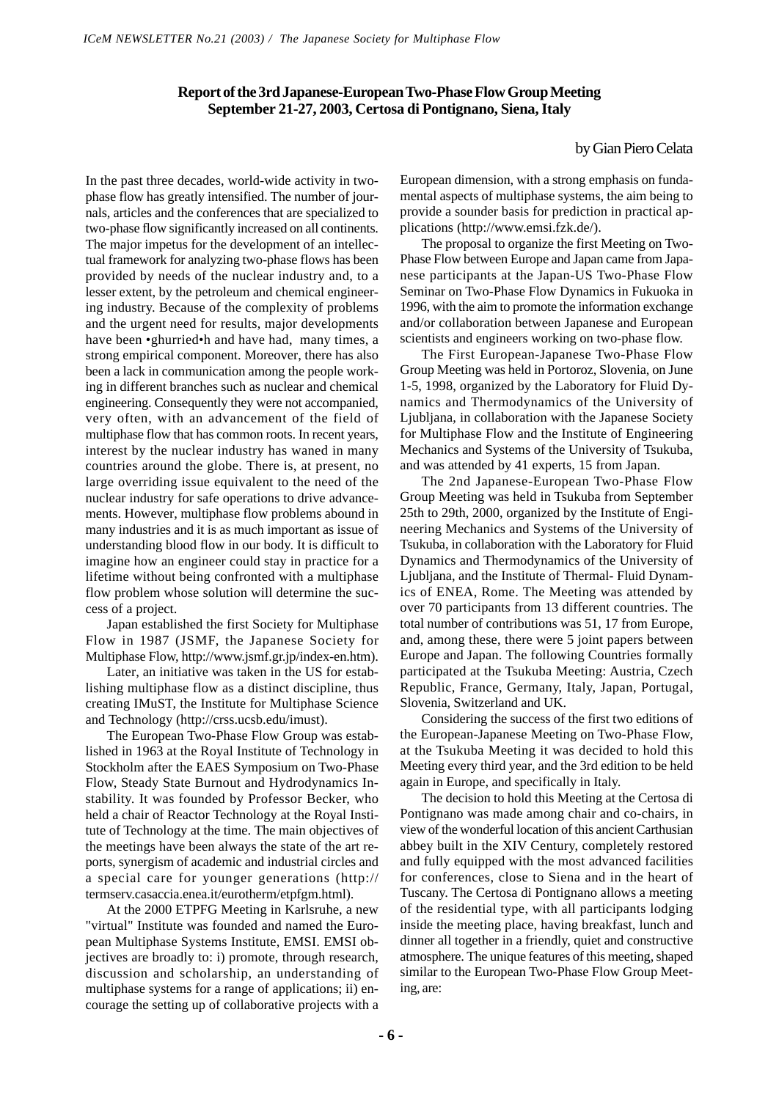# **Report of the 3rd Japanese-European Two-Phase Flow Group Meeting September 21-27, 2003, Certosa di Pontignano, Siena, Italy**

#### by Gian Piero Celata

In the past three decades, world-wide activity in twophase flow has greatly intensified. The number of journals, articles and the conferences that are specialized to two-phase flow significantly increased on all continents. The major impetus for the development of an intellectual framework for analyzing two-phase flows has been provided by needs of the nuclear industry and, to a lesser extent, by the petroleum and chemical engineering industry. Because of the complexity of problems and the urgent need for results, major developments have been •ghurried•h and have had, many times, a strong empirical component. Moreover, there has also been a lack in communication among the people working in different branches such as nuclear and chemical engineering. Consequently they were not accompanied, very often, with an advancement of the field of multiphase flow that has common roots. In recent years, interest by the nuclear industry has waned in many countries around the globe. There is, at present, no large overriding issue equivalent to the need of the nuclear industry for safe operations to drive advancements. However, multiphase flow problems abound in many industries and it is as much important as issue of understanding blood flow in our body. It is difficult to imagine how an engineer could stay in practice for a lifetime without being confronted with a multiphase flow problem whose solution will determine the success of a project.

Japan established the first Society for Multiphase Flow in 1987 (JSMF, the Japanese Society for Multiphase Flow, http://www.jsmf.gr.jp/index-en.htm).

Later, an initiative was taken in the US for establishing multiphase flow as a distinct discipline, thus creating IMuST, the Institute for Multiphase Science and Technology (http://crss.ucsb.edu/imust).

The European Two-Phase Flow Group was established in 1963 at the Royal Institute of Technology in Stockholm after the EAES Symposium on Two-Phase Flow, Steady State Burnout and Hydrodynamics Instability. It was founded by Professor Becker, who held a chair of Reactor Technology at the Royal Institute of Technology at the time. The main objectives of the meetings have been always the state of the art reports, synergism of academic and industrial circles and a special care for younger generations (http:// termserv.casaccia.enea.it/eurotherm/etpfgm.html).

At the 2000 ETPFG Meeting in Karlsruhe, a new "virtual" Institute was founded and named the European Multiphase Systems Institute, EMSI. EMSI objectives are broadly to: i) promote, through research, discussion and scholarship, an understanding of multiphase systems for a range of applications; ii) encourage the setting up of collaborative projects with a European dimension, with a strong emphasis on fundamental aspects of multiphase systems, the aim being to provide a sounder basis for prediction in practical applications (http://www.emsi.fzk.de/).

The proposal to organize the first Meeting on Two-Phase Flow between Europe and Japan came from Japanese participants at the Japan-US Two-Phase Flow Seminar on Two-Phase Flow Dynamics in Fukuoka in 1996, with the aim to promote the information exchange and/or collaboration between Japanese and European scientists and engineers working on two-phase flow.

The First European-Japanese Two-Phase Flow Group Meeting was held in Portoroz, Slovenia, on June 1-5, 1998, organized by the Laboratory for Fluid Dynamics and Thermodynamics of the University of Ljubljana, in collaboration with the Japanese Society for Multiphase Flow and the Institute of Engineering Mechanics and Systems of the University of Tsukuba, and was attended by 41 experts, 15 from Japan.

The 2nd Japanese-European Two-Phase Flow Group Meeting was held in Tsukuba from September 25th to 29th, 2000, organized by the Institute of Engineering Mechanics and Systems of the University of Tsukuba, in collaboration with the Laboratory for Fluid Dynamics and Thermodynamics of the University of Ljubljana, and the Institute of Thermal- Fluid Dynamics of ENEA, Rome. The Meeting was attended by over 70 participants from 13 different countries. The total number of contributions was 51, 17 from Europe, and, among these, there were 5 joint papers between Europe and Japan. The following Countries formally participated at the Tsukuba Meeting: Austria, Czech Republic, France, Germany, Italy, Japan, Portugal, Slovenia, Switzerland and UK.

Considering the success of the first two editions of the European-Japanese Meeting on Two-Phase Flow, at the Tsukuba Meeting it was decided to hold this Meeting every third year, and the 3rd edition to be held again in Europe, and specifically in Italy.

The decision to hold this Meeting at the Certosa di Pontignano was made among chair and co-chairs, in view of the wonderful location of this ancient Carthusian abbey built in the XIV Century, completely restored and fully equipped with the most advanced facilities for conferences, close to Siena and in the heart of Tuscany. The Certosa di Pontignano allows a meeting of the residential type, with all participants lodging inside the meeting place, having breakfast, lunch and dinner all together in a friendly, quiet and constructive atmosphere. The unique features of this meeting, shaped similar to the European Two-Phase Flow Group Meeting, are:

 **- 6 -**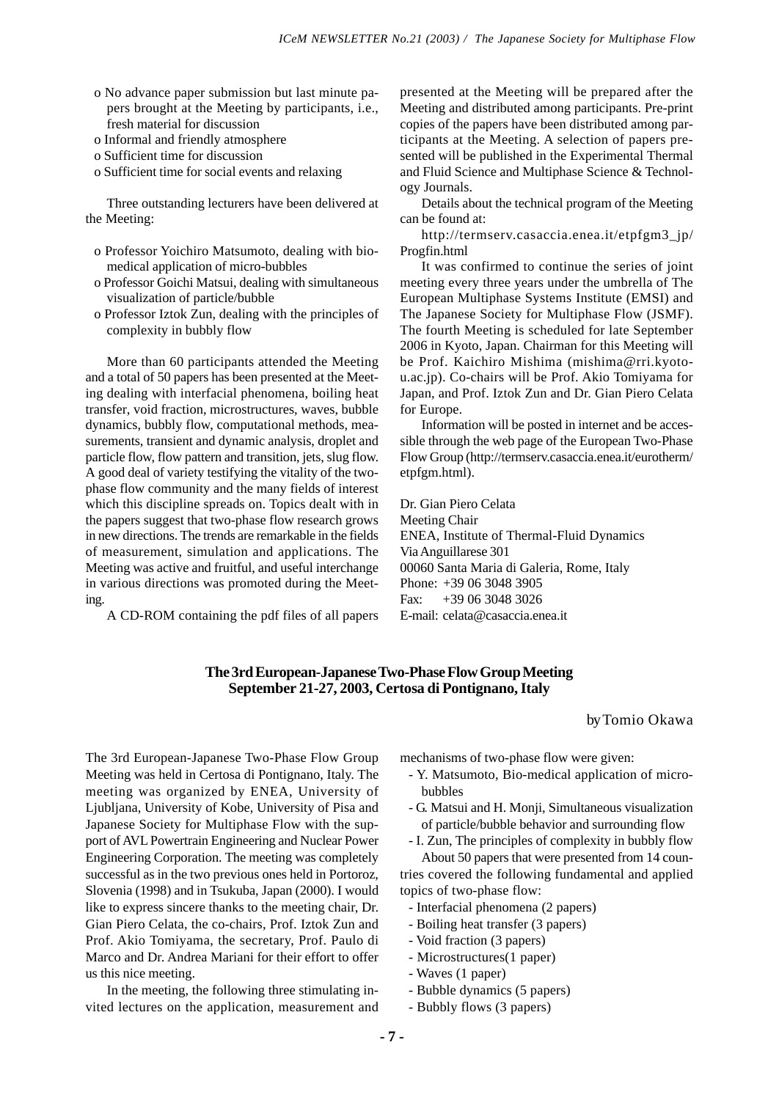- o No advance paper submission but last minute papers brought at the Meeting by participants, i.e., fresh material for discussion
- o Informal and friendly atmosphere
- o Sufficient time for discussion
- o Sufficient time for social events and relaxing

Three outstanding lecturers have been delivered at the Meeting:

- o Professor Yoichiro Matsumoto, dealing with biomedical application of micro-bubbles
- o Professor Goichi Matsui, dealing with simultaneous visualization of particle/bubble
- o Professor Iztok Zun, dealing with the principles of complexity in bubbly flow

More than 60 participants attended the Meeting and a total of 50 papers has been presented at the Meeting dealing with interfacial phenomena, boiling heat transfer, void fraction, microstructures, waves, bubble dynamics, bubbly flow, computational methods, measurements, transient and dynamic analysis, droplet and particle flow, flow pattern and transition, jets, slug flow. A good deal of variety testifying the vitality of the twophase flow community and the many fields of interest which this discipline spreads on. Topics dealt with in the papers suggest that two-phase flow research grows in new directions. The trends are remarkable in the fields of measurement, simulation and applications. The Meeting was active and fruitful, and useful interchange in various directions was promoted during the Meeting.

A CD-ROM containing the pdf files of all papers

presented at the Meeting will be prepared after the Meeting and distributed among participants. Pre-print copies of the papers have been distributed among participants at the Meeting. A selection of papers presented will be published in the Experimental Thermal and Fluid Science and Multiphase Science & Technology Journals.

Details about the technical program of the Meeting can be found at:

http://termserv.casaccia.enea.it/etpfgm3\_jp/ Progfin.html

It was confirmed to continue the series of joint meeting every three years under the umbrella of The European Multiphase Systems Institute (EMSI) and The Japanese Society for Multiphase Flow (JSMF). The fourth Meeting is scheduled for late September 2006 in Kyoto, Japan. Chairman for this Meeting will be Prof. Kaichiro Mishima (mishima@rri.kyotou.ac.jp). Co-chairs will be Prof. Akio Tomiyama for Japan, and Prof. Iztok Zun and Dr. Gian Piero Celata for Europe.

Information will be posted in internet and be accessible through the web page of the European Two-Phase Flow Group (http://termserv.casaccia.enea.it/eurotherm/ etpfgm.html).

Dr. Gian Piero Celata Meeting Chair ENEA, Institute of Thermal-Fluid Dynamics Via Anguillarese 301 00060 Santa Maria di Galeria, Rome, Italy Phone: +39 06 3048 3905 Fax: +39 06 3048 3026 E-mail: celata@casaccia.enea.it

## **The 3rd European-Japanese Two-Phase Flow Group Meeting September 21-27, 2003, Certosa di Pontignano, Italy**

#### by Tomio Okawa

The 3rd European-Japanese Two-Phase Flow Group Meeting was held in Certosa di Pontignano, Italy. The meeting was organized by ENEA, University of Ljubljana, University of Kobe, University of Pisa and Japanese Society for Multiphase Flow with the support of AVL Powertrain Engineering and Nuclear Power Engineering Corporation. The meeting was completely successful as in the two previous ones held in Portoroz, Slovenia (1998) and in Tsukuba, Japan (2000). I would like to express sincere thanks to the meeting chair, Dr. Gian Piero Celata, the co-chairs, Prof. Iztok Zun and Prof. Akio Tomiyama, the secretary, Prof. Paulo di Marco and Dr. Andrea Mariani for their effort to offer us this nice meeting.

In the meeting, the following three stimulating invited lectures on the application, measurement and mechanisms of two-phase flow were given:

- Y. Matsumoto, Bio-medical application of microbubbles
- G. Matsui and H. Monji, Simultaneous visualization of particle/bubble behavior and surrounding flow
- I. Zun, The principles of complexity in bubbly flow About 50 papers that were presented from 14 coun-

tries covered the following fundamental and applied topics of two-phase flow:

- Interfacial phenomena (2 papers)
- Boiling heat transfer (3 papers)
- Void fraction (3 papers)
- Microstructures(1 paper)
- Waves (1 paper)
- Bubble dynamics (5 papers)
- Bubbly flows (3 papers)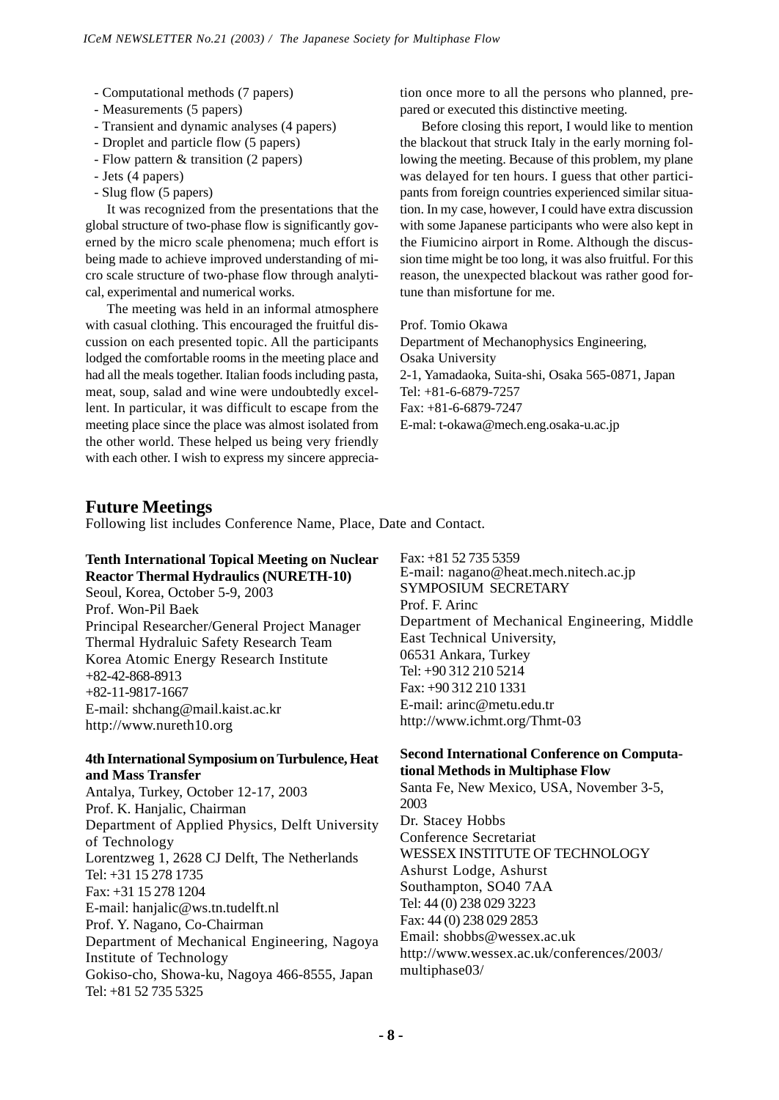- Computational methods (7 papers)
- Measurements (5 papers)
- Transient and dynamic analyses (4 papers)
- Droplet and particle flow (5 papers)
- Flow pattern & transition (2 papers)
- Jets (4 papers)
- Slug flow (5 papers)

It was recognized from the presentations that the global structure of two-phase flow is significantly governed by the micro scale phenomena; much effort is being made to achieve improved understanding of micro scale structure of two-phase flow through analytical, experimental and numerical works.

The meeting was held in an informal atmosphere with casual clothing. This encouraged the fruitful discussion on each presented topic. All the participants lodged the comfortable rooms in the meeting place and had all the meals together. Italian foods including pasta, meat, soup, salad and wine were undoubtedly excellent. In particular, it was difficult to escape from the meeting place since the place was almost isolated from the other world. These helped us being very friendly with each other. I wish to express my sincere appreciation once more to all the persons who planned, prepared or executed this distinctive meeting.

Before closing this report, I would like to mention the blackout that struck Italy in the early morning following the meeting. Because of this problem, my plane was delayed for ten hours. I guess that other participants from foreign countries experienced similar situation. In my case, however, I could have extra discussion with some Japanese participants who were also kept in the Fiumicino airport in Rome. Although the discussion time might be too long, it was also fruitful. For this reason, the unexpected blackout was rather good fortune than misfortune for me.

Prof. Tomio Okawa

Department of Mechanophysics Engineering, Osaka University 2-1, Yamadaoka, Suita-shi, Osaka 565-0871, Japan Tel: +81-6-6879-7257 Fax: +81-6-6879-7247 E-mal: t-okawa@mech.eng.osaka-u.ac.jp

# **Future Meetings**

Following list includes Conference Name, Place, Date and Contact.

# **Tenth International Topical Meeting on Nuclear Reactor Thermal Hydraulics (NURETH-10)**

Seoul, Korea, October 5-9, 2003 Prof. Won-Pil Baek Principal Researcher/General Project Manager Thermal Hydraluic Safety Research Team Korea Atomic Energy Research Institute +82-42-868-8913 +82-11-9817-1667 E-mail: shchang@mail.kaist.ac.kr http://www.nureth10.org

## **4th International Symposium on Turbulence, Heat and Mass Transfer**

Antalya, Turkey, October 12-17, 2003 Prof. K. Hanjalic, Chairman Department of Applied Physics, Delft University of Technology Lorentzweg 1, 2628 CJ Delft, The Netherlands  $Tel·+31$  15 278 1735 Fax: +31 15 278 1204 E-mail: hanjalic@ws.tn.tudelft.nl Prof. Y. Nagano, Co-Chairman Department of Mechanical Engineering, Nagoya Institute of Technology Gokiso-cho, Showa-ku, Nagoya 466-8555, Japan Tel: +81 52 735 5325

E-mail: nagano@heat.mech.nitech.ac.jp SYMPOSIUM SECRETARY Prof. F. Arinc Department of Mechanical Engineering, Middle East Technical University, 06531 Ankara, Turkey Tel: +90 312 210 5214 Fax: +90 312 210 1331 E-mail: arinc@metu.edu.tr http://www.ichmt.org/Thmt-03 Fax: +81 52 735 5359

#### **Second International Conference on Computational Methods in Multiphase Flow**

Santa Fe, New Mexico, USA, November 3-5, 2003 Dr. Stacey Hobbs Conference Secretariat WESSEX INSTITUTE OF TECHNOLOGY Ashurst Lodge, Ashurst Southampton, SO40 7AA Tel: 44 (0) 238 029 3223 Fax: 44 (0) 238 029 2853 Email: shobbs@wessex.ac.uk http://www.wessex.ac.uk/conferences/2003/ multiphase03/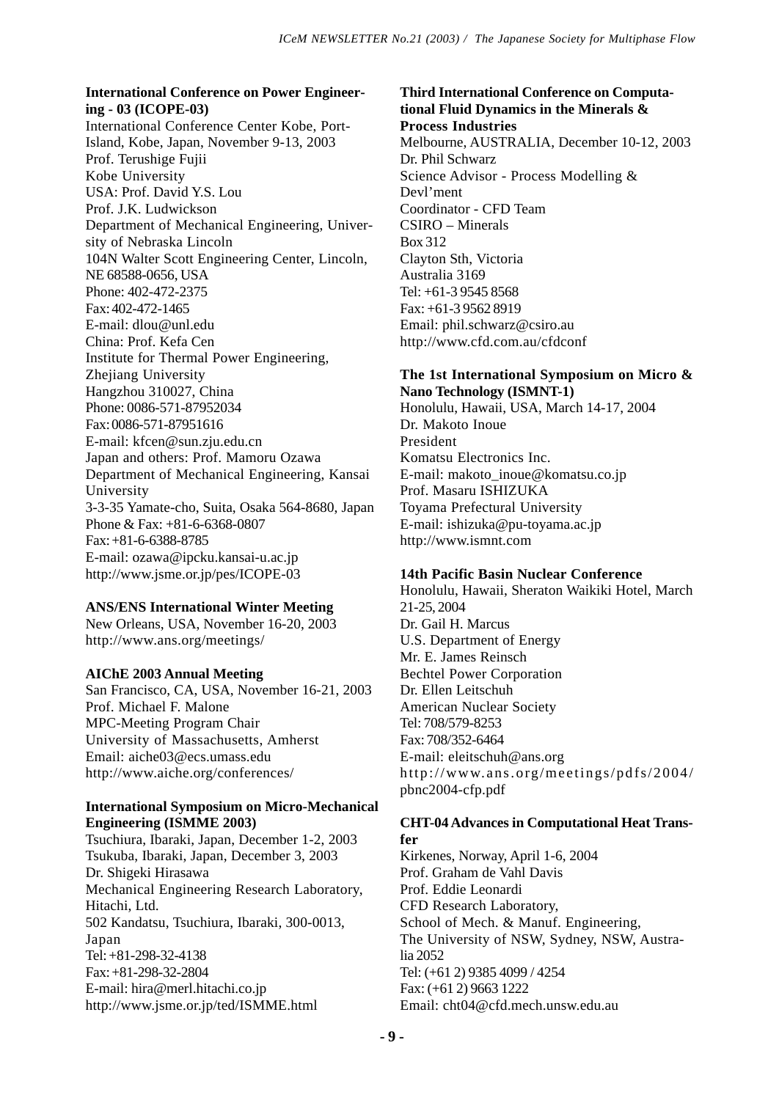## **International Conference on Power Engineering - 03 (ICOPE-03)**

International Conference Center Kobe, Port-Island, Kobe, Japan, November 9-13, 2003 Prof. Terushige Fujii Kobe University USA: Prof. David Y.S. Lou Prof. J.K. Ludwickson Department of Mechanical Engineering, University of Nebraska Lincoln 104N Walter Scott Engineering Center, Lincoln, NE 68588-0656, USA Phone: 402-472-2375 Fax: 402-472-1465 E-mail: dlou@unl.edu China: Prof. Kefa Cen Institute for Thermal Power Engineering, Zhejiang University Hangzhou 310027, China Phone: 0086-571-87952034 Fax: 0086-571-87951616 E-mail: kfcen@sun.zju.edu.cn Japan and others: Prof. Mamoru Ozawa Department of Mechanical Engineering, Kansai University 3-3-35 Yamate-cho, Suita, Osaka 564-8680, Japan Phone & Fax: +81-6-6368-0807 Fax: +81-6-6388-8785 E-mail: ozawa@ipcku.kansai-u.ac.jp http://www.jsme.or.jp/pes/ICOPE-03

# **ANS/ENS International Winter Meeting**

New Orleans, USA, November 16-20, 2003 http://www.ans.org/meetings/

## **AIChE 2003 Annual Meeting**

San Francisco, CA, USA, November 16-21, 2003 Prof. Michael F. Malone MPC-Meeting Program Chair University of Massachusetts, Amherst Email: aiche03@ecs.umass.edu http://www.aiche.org/conferences/

## **International Symposium on Micro-Mechanical Engineering (ISMME 2003)**

Tsuchiura, Ibaraki, Japan, December 1-2, 2003 Tsukuba, Ibaraki, Japan, December 3, 2003 Dr. Shigeki Hirasawa Mechanical Engineering Research Laboratory, Hitachi, Ltd. 502 Kandatsu, Tsuchiura, Ibaraki, 300-0013, Japan Tel: +81-298-32-4138 Fax: +81-298-32-2804 E-mail: hira@merl.hitachi.co.jp http://www.jsme.or.jp/ted/ISMME.html

# **Third International Conference on Computational Fluid Dynamics in the Minerals & Process Industries** Melbourne, AUSTRALIA, December 10-12, 2003 Dr. Phil Schwarz Science Advisor - Process Modelling & Devl'ment Coordinator - CFD Team CSIRO – Minerals Box 312 Clayton Sth, Victoria Australia 3169 Tel: +61-3 9545 8568 Fax: +61-3 9562 8919 Email: phil.schwarz@csiro.au http://www.cfd.com.au/cfdconf

# **The 1st International Symposium on Micro & Nano Technology (ISMNT-1)**

Honolulu, Hawaii, USA, March 14-17, 2004 Dr. Makoto Inoue President Komatsu Electronics Inc. E-mail: makoto\_inoue@komatsu.co.jp Prof. Masaru ISHIZUKA Toyama Prefectural University E-mail: ishizuka@pu-toyama.ac.jp http://www.ismnt.com

# **14th Pacific Basin Nuclear Conference**

Honolulu, Hawaii, Sheraton Waikiki Hotel, March 21-25, 2004 Dr. Gail H. Marcus U.S. Department of Energy Mr. E. James Reinsch Bechtel Power Corporation Dr. Ellen Leitschuh American Nuclear Society Tel: 708/579-8253 Fax: 708/352-6464 E-mail: eleitschuh@ans.org http://www.ans.org/meetings/pdfs/2004/ pbnc2004-cfp.pdf

#### **CHT-04 Advances in Computational Heat Transfer**

Kirkenes, Norway, April 1-6, 2004 Prof. Graham de Vahl Davis Prof. Eddie Leonardi CFD Research Laboratory, School of Mech. & Manuf. Engineering, The University of NSW, Sydney, NSW, Australia 2052 Tel: (+61 2) 9385 4099 / 4254 Fax: (+61 2) 9663 1222 Email: cht04@cfd.mech.unsw.edu.au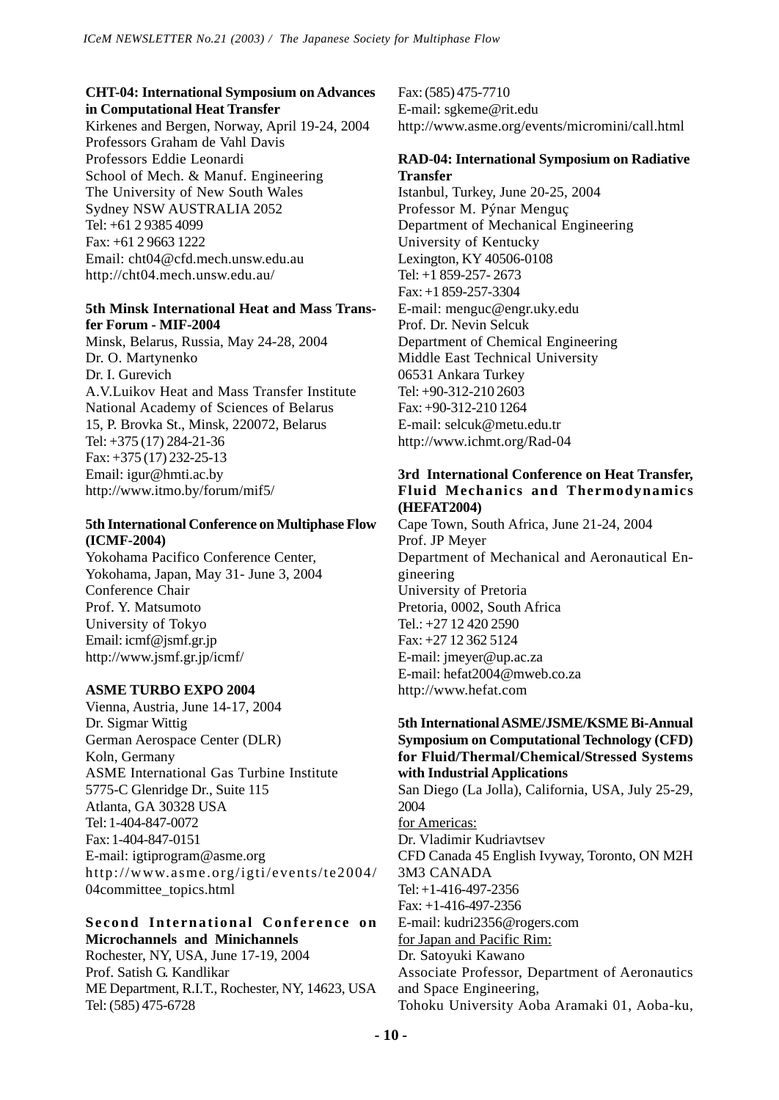# **CHT-04: International Symposium on Advances in Computational Heat Transfer**

Kirkenes and Bergen, Norway, April 19-24, 2004 Professors Graham de Vahl Davis Professors Eddie Leonardi School of Mech. & Manuf. Engineering The University of New South Wales Sydney NSW AUSTRALIA 2052 Tel: +61 2 9385 4099 Fax: +61 2 9663 1222 Email: cht04@cfd.mech.unsw.edu.au http://cht04.mech.unsw.edu.au/

# **5th Minsk International Heat and Mass Transfer Forum - MIF-2004**

Minsk, Belarus, Russia, May 24-28, 2004 Dr. O. Martynenko Dr. I. Gurevich A.V.Luikov Heat and Mass Transfer Institute National Academy of Sciences of Belarus 15, P. Brovka St., Minsk, 220072, Belarus Tel: +375 (17) 284-21-36 Fax: +375 (17) 232-25-13 Email: igur@hmti.ac.by http://www.itmo.by/forum/mif5/

# **5th International Conference on Multiphase Flow (ICMF-2004)**

Yokohama Pacifico Conference Center, Yokohama, Japan, May 31- June 3, 2004 Conference Chair Prof. Y. Matsumoto University of Tokyo Email: icmf@jsmf.gr.jp http://www.jsmf.gr.jp/icmf/

# **ASME TURBO EXPO 2004**

Vienna, Austria, June 14-17, 2004 Dr. Sigmar Wittig German Aerospace Center (DLR) Koln, Germany ASME International Gas Turbine Institute 5775-C Glenridge Dr., Suite 115 Atlanta, GA 30328 USA Tel: 1-404-847-0072 Fax: 1-404-847-0151 E-mail: igtiprogram@asme.org http://www.asme.org/igti/events/te2004/ 04committee\_topics.html

# **Second International Conference on Microchannels and Minichannels**

Rochester, NY, USA, June 17-19, 2004 Prof. Satish G. Kandlikar ME Department, R.I.T., Rochester, NY, 14623, USA Tel: (585) 475-6728

Fax: (585) 475-7710 E-mail: sgkeme@rit.edu http://www.asme.org/events/micromini/call.html

# **RAD-04: International Symposium on Radiative Transfer**

Istanbul, Turkey, June 20-25, 2004 Professor M. Pýnar Menguç Department of Mechanical Engineering University of Kentucky Lexington, KY 40506-0108 Tel: +1 859-257- 2673 Fax: +1 859-257-3304 E-mail: menguc@engr.uky.edu Prof. Dr. Nevin Selcuk Department of Chemical Engineering Middle East Technical University 06531 Ankara Turkey Tel: +90-312-210 2603 Fax: +90-312-210 1264 E-mail: selcuk@metu.edu.tr http://www.ichmt.org/Rad-04

# **3rd International Conference on Heat Transfer, Fluid Mechanics and Thermodynamics (HEFAT2004)**

Cape Town, South Africa, June 21-24, 2004 Prof. JP Meyer Department of Mechanical and Aeronautical Engineering University of Pretoria Pretoria, 0002, South Africa  $Tel \cdot +27124202590$ Fax: +27 12 362 5124 E-mail: jmeyer@up.ac.za E-mail: hefat2004@mweb.co.za http://www.hefat.com

# **5th International ASME/JSME/KSME Bi-Annual Symposium on Computational Technology (CFD) for Fluid/Thermal/Chemical/Stressed Systems with Industrial Applications**

San Diego (La Jolla), California, USA, July 25-29, 2004 for Americas: Dr. Vladimir Kudriavtsev CFD Canada 45 English Ivyway, Toronto, ON M2H 3M3 CANADA Tel: +1-416-497-2356 Fax: +1-416-497-2356 E-mail: kudri2356@rogers.com for Japan and Pacific Rim: Dr. Satoyuki Kawano Associate Professor, Department of Aeronautics and Space Engineering, Tohoku University Aoba Aramaki 01, Aoba-ku,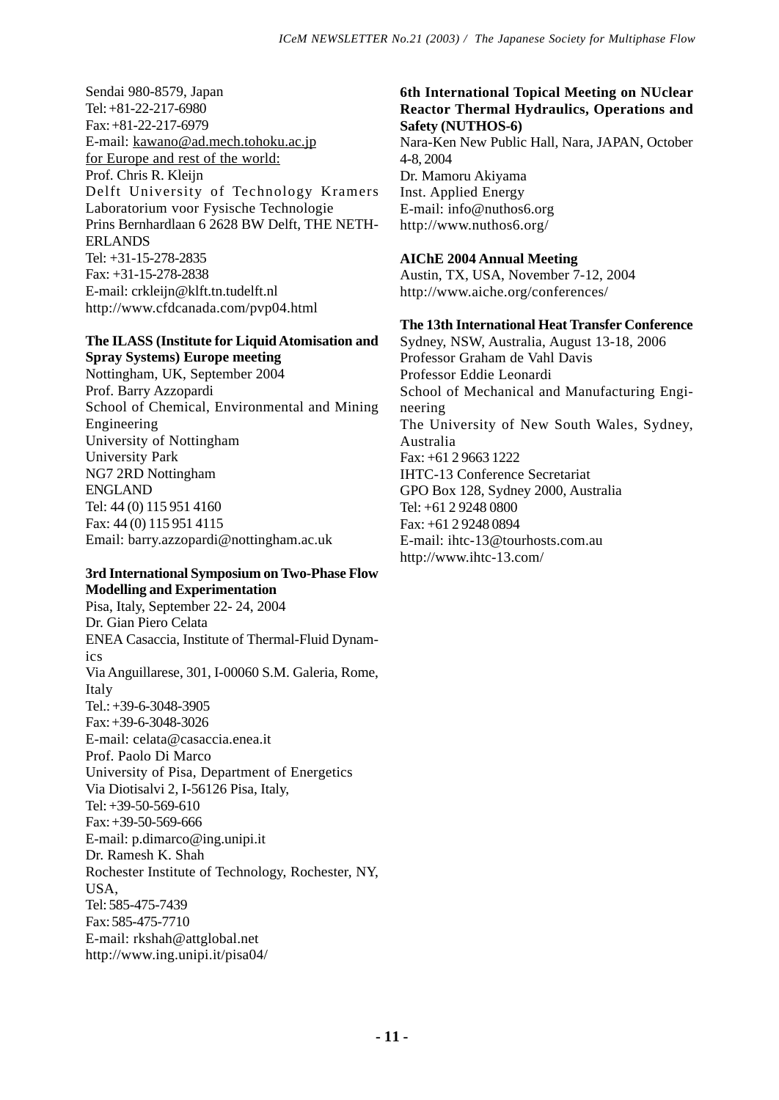Sendai 980-8579, Japan Tel: +81-22-217-6980 Fax: +81-22-217-6979 E-mail: kawano@ad.mech.tohoku.ac.jp for Europe and rest of the world: Prof. Chris R. Kleijn Delft University of Technology Kramers Laboratorium voor Fysische Technologie Prins Bernhardlaan 6 2628 BW Delft, THE NETH-ERLANDS Tel: +31-15-278-2835 Fax: +31-15-278-2838 E-mail: crkleijn@klft.tn.tudelft.nl http://www.cfdcanada.com/pvp04.html

## **The ILASS (Institute for Liquid Atomisation and Spray Systems) Europe meeting**

Nottingham, UK, September 2004 Prof. Barry Azzopardi School of Chemical, Environmental and Mining Engineering University of Nottingham University Park NG7 2RD Nottingham ENGLAND Tel: 44 (0) 115 951 4160 Fax: 44 (0) 115 951 4115 Email: barry.azzopardi@nottingham.ac.uk

## **3rd International Symposium on Two-Phase Flow Modelling and Experimentation**

Pisa, Italy, September 22- 24, 2004 Dr. Gian Piero Celata ENEA Casaccia, Institute of Thermal-Fluid Dynamics Via Anguillarese, 301, I-00060 S.M. Galeria, Rome, Italy Tel.: +39-6-3048-3905 Fax: +39-6-3048-3026 E-mail: celata@casaccia.enea.it Prof. Paolo Di Marco University of Pisa, Department of Energetics Via Diotisalvi 2, I-56126 Pisa, Italy, Tel: +39-50-569-610 Fax: +39-50-569-666 E-mail: p.dimarco@ing.unipi.it Dr. Ramesh K. Shah Rochester Institute of Technology, Rochester, NY,  $IISA$ Tel: 585-475-7439 Fax: 585-475-7710 E-mail: rkshah@attglobal.net http://www.ing.unipi.it/pisa04/

# **6th International Topical Meeting on NUclear Reactor Thermal Hydraulics, Operations and Safety (NUTHOS-6)**

Nara-Ken New Public Hall, Nara, JAPAN, October 4-8, 2004 Dr. Mamoru Akiyama Inst. Applied Energy E-mail: info@nuthos6.org http://www.nuthos6.org/

# **AIChE 2004 Annual Meeting**

Austin, TX, USA, November 7-12, 2004 http://www.aiche.org/conferences/

# **The 13th International Heat Transfer Conference**

Sydney, NSW, Australia, August 13-18, 2006 Professor Graham de Vahl Davis Professor Eddie Leonardi School of Mechanical and Manufacturing Engineering The University of New South Wales, Sydney, Australia Fax: +61 2 9663 1222 IHTC-13 Conference Secretariat GPO Box 128, Sydney 2000, Australia Tel: +61 2 9248 0800 Fax: +61 2 9248 0894 E-mail: ihtc-13@tourhosts.com.au http://www.ihtc-13.com/